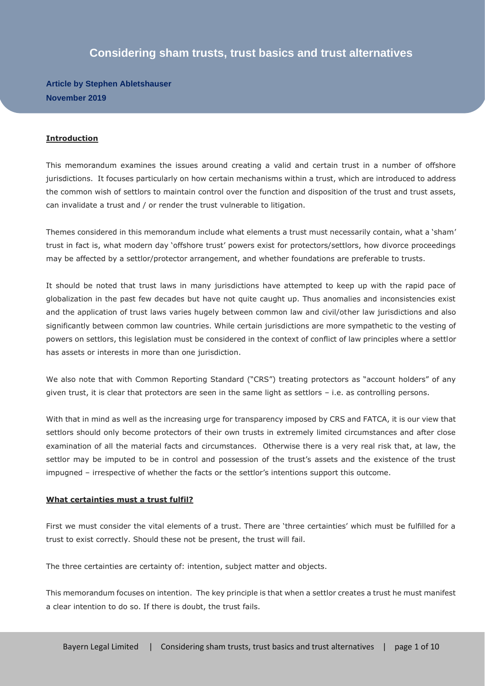# **Considering sham trusts, trust basics and trust alternatives**

**Article by Stephen Abletshauser November 2019**

#### **Introduction**

This memorandum examines the issues around creating a valid and certain trust in a number of offshore jurisdictions. It focuses particularly on how certain mechanisms within a trust, which are introduced to address the common wish of settlors to maintain control over the function and disposition of the trust and trust assets, can invalidate a trust and / or render the trust vulnerable to litigation.

Themes considered in this memorandum include what elements a trust must necessarily contain, what a 'sham' trust in fact is, what modern day 'offshore trust' powers exist for protectors/settlors, how divorce proceedings may be affected by a settlor/protector arrangement, and whether foundations are preferable to trusts.

It should be noted that trust laws in many jurisdictions have attempted to keep up with the rapid pace of globalization in the past few decades but have not quite caught up. Thus anomalies and inconsistencies exist and the application of trust laws varies hugely between common law and civil/other law jurisdictions and also significantly between common law countries. While certain jurisdictions are more sympathetic to the vesting of powers on settlors, this legislation must be considered in the context of conflict of law principles where a settlor has assets or interests in more than one jurisdiction.

We also note that with Common Reporting Standard ("CRS") treating protectors as "account holders" of any given trust, it is clear that protectors are seen in the same light as settlors – i.e. as controlling persons.

With that in mind as well as the increasing urge for transparency imposed by CRS and FATCA, it is our view that settlors should only become protectors of their own trusts in extremely limited circumstances and after close examination of all the material facts and circumstances. Otherwise there is a very real risk that, at law, the settlor may be imputed to be in control and possession of the trust's assets and the existence of the trust impugned – irrespective of whether the facts or the settlor's intentions support this outcome.

#### **What certainties must a trust fulfil?**

First we must consider the vital elements of a trust. There are 'three certainties' which must be fulfilled for a trust to exist correctly. Should these not be present, the trust will fail.

The three certainties are certainty of: intention, subject matter and objects.

This memorandum focuses on intention. The key principle is that when a settlor creates a trust he must manifest a clear intention to do so. If there is doubt, the trust fails.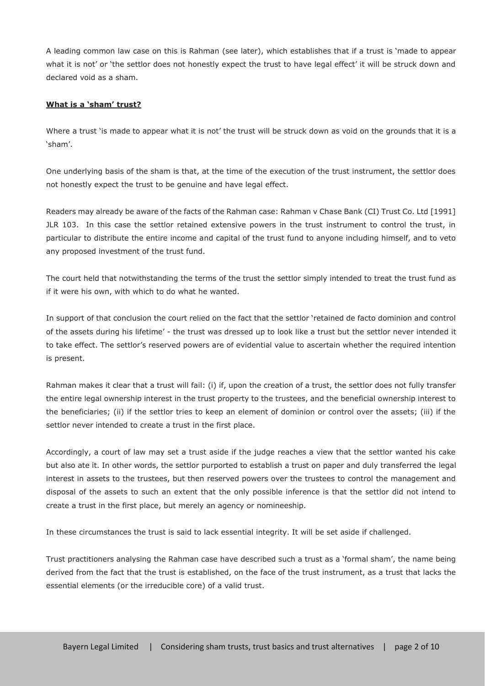A leading common law case on this is Rahman (see later), which establishes that if a trust is 'made to appear what it is not' or 'the settlor does not honestly expect the trust to have legal effect' it will be struck down and declared void as a sham.

## **What is a 'sham' trust?**

Where a trust 'is made to appear what it is not' the trust will be struck down as void on the grounds that it is a 'sham'.

One underlying basis of the sham is that, at the time of the execution of the trust instrument, the settlor does not honestly expect the trust to be genuine and have legal effect.

Readers may already be aware of the facts of the Rahman case: Rahman v Chase Bank (CI) Trust Co. Ltd [1991] JLR 103. In this case the settlor retained extensive powers in the trust instrument to control the trust, in particular to distribute the entire income and capital of the trust fund to anyone including himself, and to veto any proposed investment of the trust fund.

The court held that notwithstanding the terms of the trust the settlor simply intended to treat the trust fund as if it were his own, with which to do what he wanted.

In support of that conclusion the court relied on the fact that the settlor 'retained de facto dominion and control of the assets during his lifetime' - the trust was dressed up to look like a trust but the settlor never intended it to take effect. The settlor's reserved powers are of evidential value to ascertain whether the required intention is present.

Rahman makes it clear that a trust will fail: (i) if, upon the creation of a trust, the settlor does not fully transfer the entire legal ownership interest in the trust property to the trustees, and the beneficial ownership interest to the beneficiaries; (ii) if the settlor tries to keep an element of dominion or control over the assets; (iii) if the settlor never intended to create a trust in the first place.

Accordingly, a court of law may set a trust aside if the judge reaches a view that the settlor wanted his cake but also ate it. In other words, the settlor purported to establish a trust on paper and duly transferred the legal interest in assets to the trustees, but then reserved powers over the trustees to control the management and disposal of the assets to such an extent that the only possible inference is that the settlor did not intend to create a trust in the first place, but merely an agency or nomineeship.

In these circumstances the trust is said to lack essential integrity. It will be set aside if challenged.

Trust practitioners analysing the Rahman case have described such a trust as a 'formal sham', the name being derived from the fact that the trust is established, on the face of the trust instrument, as a trust that lacks the essential elements (or the irreducible core) of a valid trust.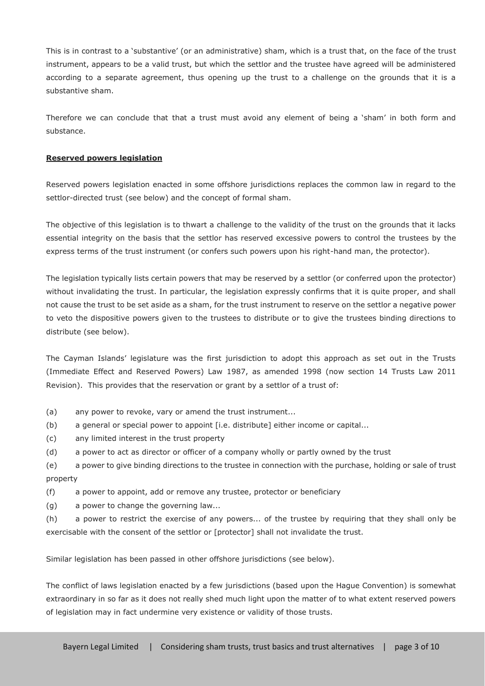This is in contrast to a 'substantive' (or an administrative) sham, which is a trust that, on the face of the trust instrument, appears to be a valid trust, but which the settlor and the trustee have agreed will be administered according to a separate agreement, thus opening up the trust to a challenge on the grounds that it is a substantive sham.

Therefore we can conclude that that a trust must avoid any element of being a 'sham' in both form and substance.

### **Reserved powers legislation**

Reserved powers legislation enacted in some offshore jurisdictions replaces the common law in regard to the settlor-directed trust (see below) and the concept of formal sham.

The objective of this legislation is to thwart a challenge to the validity of the trust on the grounds that it lacks essential integrity on the basis that the settlor has reserved excessive powers to control the trustees by the express terms of the trust instrument (or confers such powers upon his right-hand man, the protector).

The legislation typically lists certain powers that may be reserved by a settlor (or conferred upon the protector) without invalidating the trust. In particular, the legislation expressly confirms that it is quite proper, and shall not cause the trust to be set aside as a sham, for the trust instrument to reserve on the settlor a negative power to veto the dispositive powers given to the trustees to distribute or to give the trustees binding directions to distribute (see below).

The Cayman Islands' legislature was the first jurisdiction to adopt this approach as set out in the Trusts (Immediate Effect and Reserved Powers) Law 1987, as amended 1998 (now section 14 Trusts Law 2011 Revision). This provides that the reservation or grant by a settlor of a trust of:

- (a) any power to revoke, vary or amend the trust instrument...
- (b) a general or special power to appoint [i.e. distribute] either income or capital...
- (c) any limited interest in the trust property
- (d) a power to act as director or officer of a company wholly or partly owned by the trust

(e) a power to give binding directions to the trustee in connection with the purchase, holding or sale of trust property

(f) a power to appoint, add or remove any trustee, protector or beneficiary

(g) a power to change the governing law...

(h) a power to restrict the exercise of any powers... of the trustee by requiring that they shall only be exercisable with the consent of the settlor or [protector] shall not invalidate the trust.

Similar legislation has been passed in other offshore jurisdictions (see below).

The conflict of laws legislation enacted by a few jurisdictions (based upon the Hague Convention) is somewhat extraordinary in so far as it does not really shed much light upon the matter of to what extent reserved powers of legislation may in fact undermine very existence or validity of those trusts.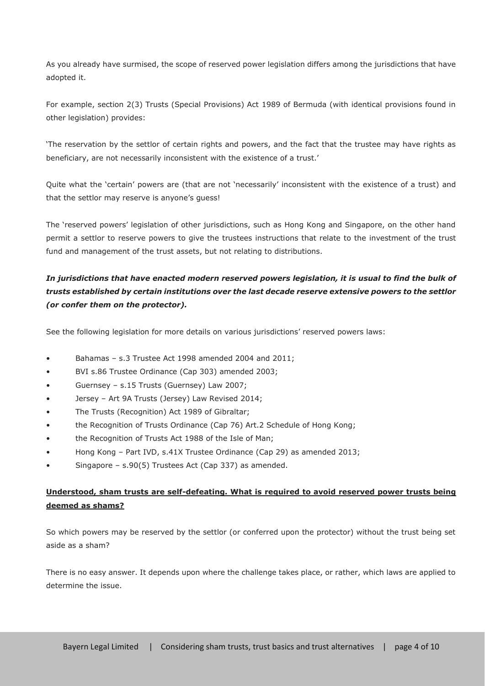As you already have surmised, the scope of reserved power legislation differs among the jurisdictions that have adopted it.

For example, section 2(3) Trusts (Special Provisions) Act 1989 of Bermuda (with identical provisions found in other legislation) provides:

'The reservation by the settlor of certain rights and powers, and the fact that the trustee may have rights as beneficiary, are not necessarily inconsistent with the existence of a trust.'

Quite what the 'certain' powers are (that are not 'necessarily' inconsistent with the existence of a trust) and that the settlor may reserve is anyone's guess!

The 'reserved powers' legislation of other jurisdictions, such as Hong Kong and Singapore, on the other hand permit a settlor to reserve powers to give the trustees instructions that relate to the investment of the trust fund and management of the trust assets, but not relating to distributions.

## *In jurisdictions that have enacted modern reserved powers legislation, it is usual to find the bulk of trusts established by certain institutions over the last decade reserve extensive powers to the settlor (or confer them on the protector).*

See the following legislation for more details on various jurisdictions' reserved powers laws:

- Bahamas s.3 Trustee Act 1998 amended 2004 and 2011;
- BVI s.86 Trustee Ordinance (Cap 303) amended 2003;
- Guernsey s.15 Trusts (Guernsey) Law 2007;
- Jersey Art 9A Trusts (Jersey) Law Revised 2014;
- The Trusts (Recognition) Act 1989 of Gibraltar;
- the Recognition of Trusts Ordinance (Cap 76) Art.2 Schedule of Hong Kong;
- the Recognition of Trusts Act 1988 of the Isle of Man;
- Hong Kong Part IVD, s.41X Trustee Ordinance (Cap 29) as amended 2013;
- Singapore s.90(5) Trustees Act (Cap 337) as amended.

## **Understood, sham trusts are self-defeating. What is required to avoid reserved power trusts being deemed as shams?**

So which powers may be reserved by the settlor (or conferred upon the protector) without the trust being set aside as a sham?

There is no easy answer. It depends upon where the challenge takes place, or rather, which laws are applied to determine the issue.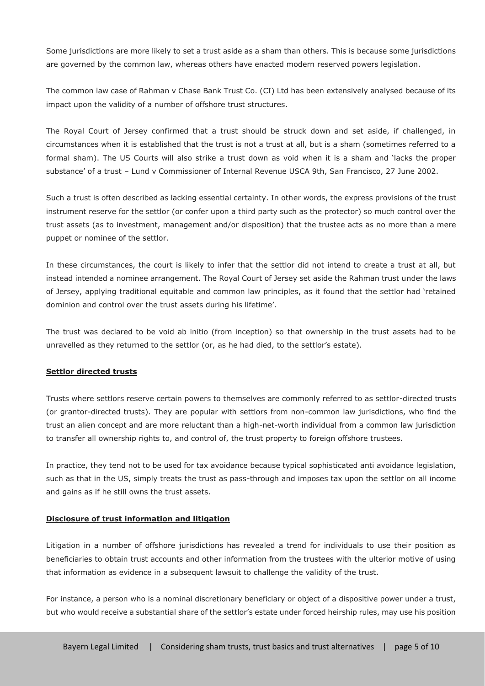Some jurisdictions are more likely to set a trust aside as a sham than others. This is because some jurisdictions are governed by the common law, whereas others have enacted modern reserved powers legislation.

The common law case of Rahman v Chase Bank Trust Co. (CI) Ltd has been extensively analysed because of its impact upon the validity of a number of offshore trust structures.

The Royal Court of Jersey confirmed that a trust should be struck down and set aside, if challenged, in circumstances when it is established that the trust is not a trust at all, but is a sham (sometimes referred to a formal sham). The US Courts will also strike a trust down as void when it is a sham and 'lacks the proper substance' of a trust – Lund v Commissioner of Internal Revenue USCA 9th, San Francisco, 27 June 2002.

Such a trust is often described as lacking essential certainty. In other words, the express provisions of the trust instrument reserve for the settlor (or confer upon a third party such as the protector) so much control over the trust assets (as to investment, management and/or disposition) that the trustee acts as no more than a mere puppet or nominee of the settlor.

In these circumstances, the court is likely to infer that the settlor did not intend to create a trust at all, but instead intended a nominee arrangement. The Royal Court of Jersey set aside the Rahman trust under the laws of Jersey, applying traditional equitable and common law principles, as it found that the settlor had 'retained dominion and control over the trust assets during his lifetime'.

The trust was declared to be void ab initio (from inception) so that ownership in the trust assets had to be unravelled as they returned to the settlor (or, as he had died, to the settlor's estate).

## **Settlor directed trusts**

Trusts where settlors reserve certain powers to themselves are commonly referred to as settlor-directed trusts (or grantor-directed trusts). They are popular with settlors from non-common law jurisdictions, who find the trust an alien concept and are more reluctant than a high-net-worth individual from a common law jurisdiction to transfer all ownership rights to, and control of, the trust property to foreign offshore trustees.

In practice, they tend not to be used for tax avoidance because typical sophisticated anti avoidance legislation, such as that in the US, simply treats the trust as pass-through and imposes tax upon the settlor on all income and gains as if he still owns the trust assets.

#### **Disclosure of trust information and litigation**

Litigation in a number of offshore jurisdictions has revealed a trend for individuals to use their position as beneficiaries to obtain trust accounts and other information from the trustees with the ulterior motive of using that information as evidence in a subsequent lawsuit to challenge the validity of the trust.

For instance, a person who is a nominal discretionary beneficiary or object of a dispositive power under a trust, but who would receive a substantial share of the settlor's estate under forced heirship rules, may use his position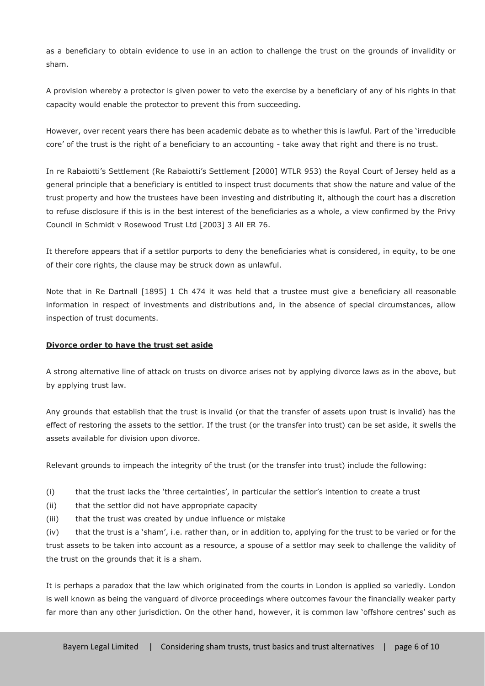as a beneficiary to obtain evidence to use in an action to challenge the trust on the grounds of invalidity or sham.

A provision whereby a protector is given power to veto the exercise by a beneficiary of any of his rights in that capacity would enable the protector to prevent this from succeeding.

However, over recent years there has been academic debate as to whether this is lawful. Part of the 'irreducible core' of the trust is the right of a beneficiary to an accounting - take away that right and there is no trust.

In re Rabaiotti's Settlement (Re Rabaiotti's Settlement [2000] WTLR 953) the Royal Court of Jersey held as a general principle that a beneficiary is entitled to inspect trust documents that show the nature and value of the trust property and how the trustees have been investing and distributing it, although the court has a discretion to refuse disclosure if this is in the best interest of the beneficiaries as a whole, a view confirmed by the Privy Council in Schmidt v Rosewood Trust Ltd [2003] 3 All ER 76.

It therefore appears that if a settlor purports to deny the beneficiaries what is considered, in equity, to be one of their core rights, the clause may be struck down as unlawful.

Note that in Re Dartnall [1895] 1 Ch 474 it was held that a trustee must give a beneficiary all reasonable information in respect of investments and distributions and, in the absence of special circumstances, allow inspection of trust documents.

## **Divorce order to have the trust set aside**

A strong alternative line of attack on trusts on divorce arises not by applying divorce laws as in the above, but by applying trust law.

Any grounds that establish that the trust is invalid (or that the transfer of assets upon trust is invalid) has the effect of restoring the assets to the settlor. If the trust (or the transfer into trust) can be set aside, it swells the assets available for division upon divorce.

Relevant grounds to impeach the integrity of the trust (or the transfer into trust) include the following:

(i) that the trust lacks the 'three certainties', in particular the settlor's intention to create a trust

(ii) that the settlor did not have appropriate capacity

(iii) that the trust was created by undue influence or mistake

(iv) that the trust is a 'sham', i.e. rather than, or in addition to, applying for the trust to be varied or for the trust assets to be taken into account as a resource, a spouse of a settlor may seek to challenge the validity of the trust on the grounds that it is a sham.

It is perhaps a paradox that the law which originated from the courts in London is applied so variedly. London is well known as being the vanguard of divorce proceedings where outcomes favour the financially weaker party far more than any other jurisdiction. On the other hand, however, it is common law 'offshore centres' such as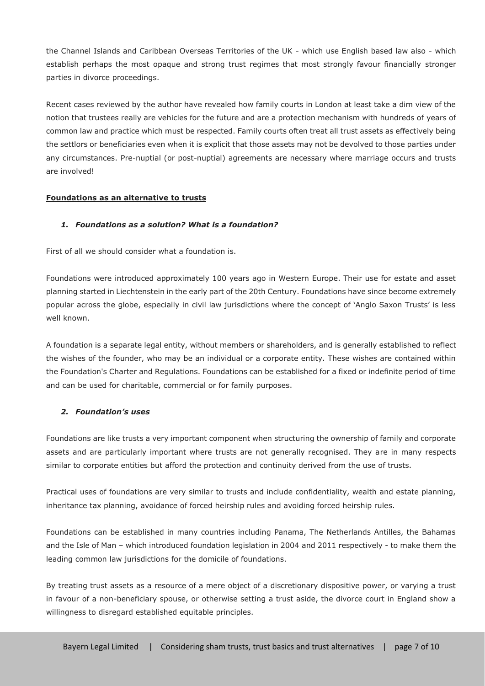the Channel Islands and Caribbean Overseas Territories of the UK - which use English based law also - which establish perhaps the most opaque and strong trust regimes that most strongly favour financially stronger parties in divorce proceedings.

Recent cases reviewed by the author have revealed how family courts in London at least take a dim view of the notion that trustees really are vehicles for the future and are a protection mechanism with hundreds of years of common law and practice which must be respected. Family courts often treat all trust assets as effectively being the settlors or beneficiaries even when it is explicit that those assets may not be devolved to those parties under any circumstances. Pre-nuptial (or post-nuptial) agreements are necessary where marriage occurs and trusts are involved!

## **Foundations as an alternative to trusts**

## *1. Foundations as a solution? What is a foundation?*

First of all we should consider what a foundation is.

Foundations were introduced approximately 100 years ago in Western Europe. Their use for estate and asset planning started in Liechtenstein in the early part of the 20th Century. Foundations have since become extremely popular across the globe, especially in civil law jurisdictions where the concept of 'Anglo Saxon Trusts' is less well known.

A foundation is a separate legal entity, without members or shareholders, and is generally established to reflect the wishes of the founder, who may be an individual or a corporate entity. These wishes are contained within the Foundation's Charter and Regulations. Foundations can be established for a fixed or indefinite period of time and can be used for charitable, commercial or for family purposes.

## *2. Foundation's uses*

Foundations are like trusts a very important component when structuring the ownership of family and corporate assets and are particularly important where trusts are not generally recognised. They are in many respects similar to corporate entities but afford the protection and continuity derived from the use of trusts.

Practical uses of foundations are very similar to trusts and include confidentiality, wealth and estate planning, inheritance tax planning, avoidance of forced heirship rules and avoiding forced heirship rules.

Foundations can be established in many countries including Panama, The Netherlands Antilles, the Bahamas and the Isle of Man – which introduced foundation legislation in 2004 and 2011 respectively - to make them the leading common law jurisdictions for the domicile of foundations.

By treating trust assets as a resource of a mere object of a discretionary dispositive power, or varying a trust in favour of a non-beneficiary spouse, or otherwise setting a trust aside, the divorce court in England show a willingness to disregard established equitable principles.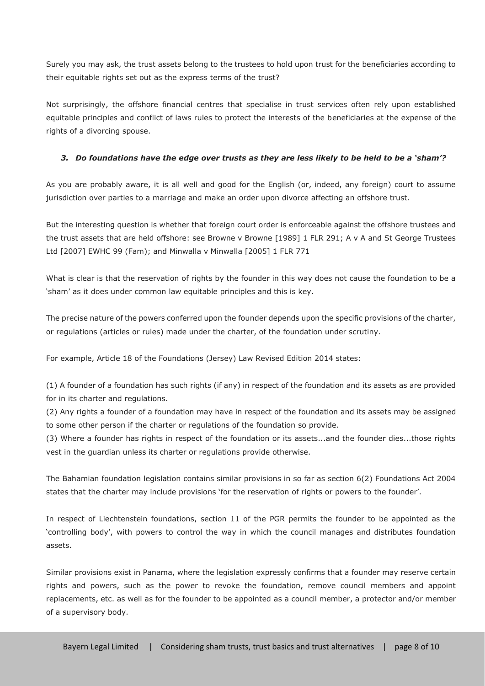Surely you may ask, the trust assets belong to the trustees to hold upon trust for the beneficiaries according to their equitable rights set out as the express terms of the trust?

Not surprisingly, the offshore financial centres that specialise in trust services often rely upon established equitable principles and conflict of laws rules to protect the interests of the beneficiaries at the expense of the rights of a divorcing spouse.

## *3. Do foundations have the edge over trusts as they are less likely to be held to be a 'sham'?*

As you are probably aware, it is all well and good for the English (or, indeed, any foreign) court to assume jurisdiction over parties to a marriage and make an order upon divorce affecting an offshore trust.

But the interesting question is whether that foreign court order is enforceable against the offshore trustees and the trust assets that are held offshore: see Browne v Browne [1989] 1 FLR 291; A v A and St George Trustees Ltd [2007] EWHC 99 (Fam); and Minwalla v Minwalla [2005] 1 FLR 771

What is clear is that the reservation of rights by the founder in this way does not cause the foundation to be a 'sham' as it does under common law equitable principles and this is key.

The precise nature of the powers conferred upon the founder depends upon the specific provisions of the charter, or regulations (articles or rules) made under the charter, of the foundation under scrutiny.

For example, Article 18 of the Foundations (Jersey) Law Revised Edition 2014 states:

(1) A founder of a foundation has such rights (if any) in respect of the foundation and its assets as are provided for in its charter and regulations.

(2) Any rights a founder of a foundation may have in respect of the foundation and its assets may be assigned to some other person if the charter or regulations of the foundation so provide.

(3) Where a founder has rights in respect of the foundation or its assets...and the founder dies...those rights vest in the guardian unless its charter or regulations provide otherwise.

The Bahamian foundation legislation contains similar provisions in so far as section 6(2) Foundations Act 2004 states that the charter may include provisions 'for the reservation of rights or powers to the founder'.

In respect of Liechtenstein foundations, section 11 of the PGR permits the founder to be appointed as the 'controlling body', with powers to control the way in which the council manages and distributes foundation assets.

Similar provisions exist in Panama, where the legislation expressly confirms that a founder may reserve certain rights and powers, such as the power to revoke the foundation, remove council members and appoint replacements, etc. as well as for the founder to be appointed as a council member, a protector and/or member of a supervisory body.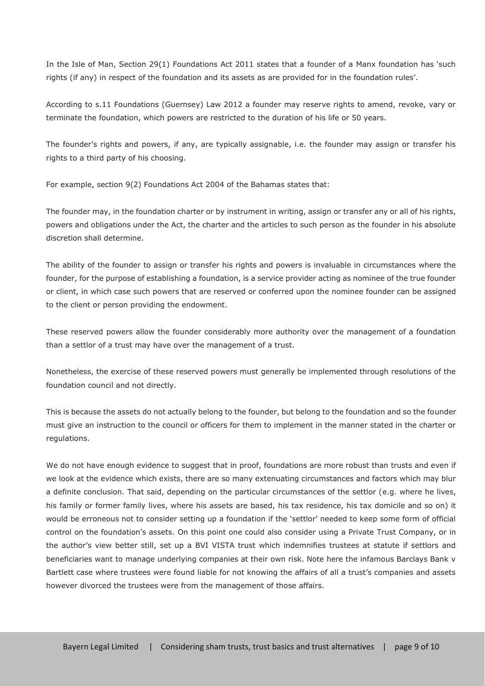In the Isle of Man, Section 29(1) Foundations Act 2011 states that a founder of a Manx foundation has 'such rights (if any) in respect of the foundation and its assets as are provided for in the foundation rules'.

According to s.11 Foundations (Guernsey) Law 2012 a founder may reserve rights to amend, revoke, vary or terminate the foundation, which powers are restricted to the duration of his life or 50 years.

The founder's rights and powers, if any, are typically assignable, i.e. the founder may assign or transfer his rights to a third party of his choosing.

For example, section 9(2) Foundations Act 2004 of the Bahamas states that:

The founder may, in the foundation charter or by instrument in writing, assign or transfer any or all of his rights, powers and obligations under the Act, the charter and the articles to such person as the founder in his absolute discretion shall determine.

The ability of the founder to assign or transfer his rights and powers is invaluable in circumstances where the founder, for the purpose of establishing a foundation, is a service provider acting as nominee of the true founder or client, in which case such powers that are reserved or conferred upon the nominee founder can be assigned to the client or person providing the endowment.

These reserved powers allow the founder considerably more authority over the management of a foundation than a settlor of a trust may have over the management of a trust.

Nonetheless, the exercise of these reserved powers must generally be implemented through resolutions of the foundation council and not directly.

This is because the assets do not actually belong to the founder, but belong to the foundation and so the founder must give an instruction to the council or officers for them to implement in the manner stated in the charter or regulations.

We do not have enough evidence to suggest that in proof, foundations are more robust than trusts and even if we look at the evidence which exists, there are so many extenuating circumstances and factors which may blur a definite conclusion. That said, depending on the particular circumstances of the settlor (e.g. where he lives, his family or former family lives, where his assets are based, his tax residence, his tax domicile and so on) it would be erroneous not to consider setting up a foundation if the 'settlor' needed to keep some form of official control on the foundation's assets. On this point one could also consider using a Private Trust Company, or in the author's view better still, set up a BVI VISTA trust which indemnifies trustees at statute if settlors and beneficiaries want to manage underlying companies at their own risk. Note here the infamous Barclays Bank v Bartlett case where trustees were found liable for not knowing the affairs of all a trust's companies and assets however divorced the trustees were from the management of those affairs.